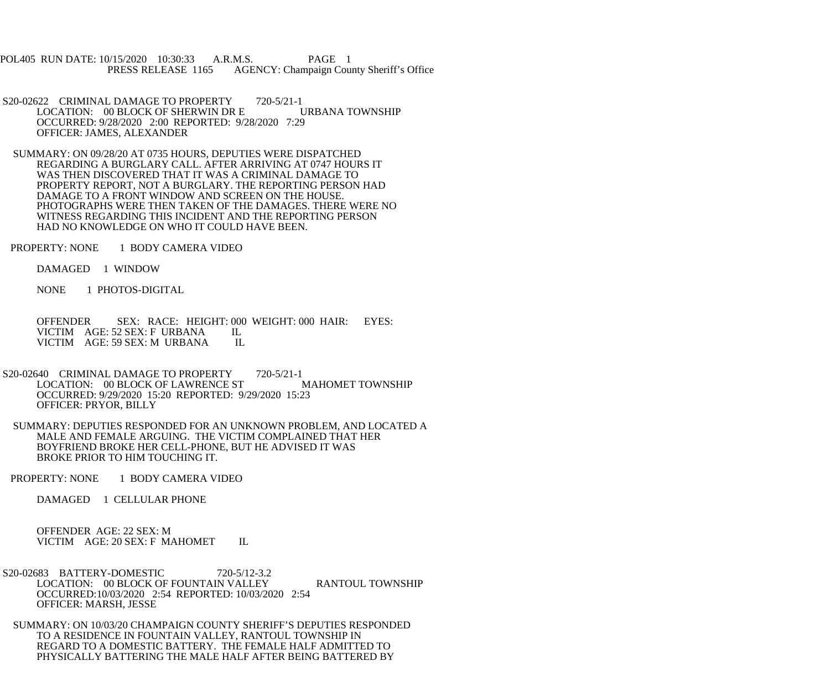POL405 RUN DATE: 10/15/2020 10:30:33 A.R.M.S. PAGE 1 PRESS RELEASE 1165 AGENCY: Champaign County Sheriff's Office

- S20-02622 CRIMINAL DAMAGE TO PROPERTY 720-5/21-1<br>LOCATION: 00 BLOCK OF SHERWIN DR E URBANA TOWNSHIP LOCATION: 00 BLOCK OF SHERWIN DR E OCCURRED: 9/28/2020 2:00 REPORTED: 9/28/2020 7:29 OFFICER: JAMES, ALEXANDER
- SUMMARY: ON 09/28/20 AT 0735 HOURS, DEPUTIES WERE DISPATCHED REGARDING A BURGLARY CALL. AFTER ARRIVING AT 0747 HOURS IT WAS THEN DISCOVERED THAT IT WAS A CRIMINAL DAMAGE TO PROPERTY REPORT, NOT A BURGLARY. THE REPORTING PERSON HAD DAMAGE TO A FRONT WINDOW AND SCREEN ON THE HOUSE. PHOTOGRAPHS WERE THEN TAKEN OF THE DAMAGES. THERE WERE NO WITNESS REGARDING THIS INCIDENT AND THE REPORTING PERSON HAD NO KNOWLEDGE ON WHO IT COULD HAVE BEEN.
- PROPERTY: NONE 1 BODY CAMERA VIDEO

DAMAGED 1 WINDOW

NONE 1 PHOTOS-DIGITAL

 OFFENDER SEX: RACE: HEIGHT: 000 WEIGHT: 000 HAIR: EYES: VICTIM AGE: 52 SEX: F URBANA IL<br>VICTIM AGE: 59 SEX: M URBANA IL VICTIM AGE: 59 SEX: M URBANA

- S20-02640 CRIMINAL DAMAGE TO PROPERTY 720-5/21-1<br>LOCATION: 00 BLOCK OF LAWRENCE ST MAHOMET TOWNSHIP LOCATION: 00 BLOCK OF LAWRENCE ST OCCURRED: 9/29/2020 15:20 REPORTED: 9/29/2020 15:23 OFFICER: PRYOR, BILLY
- SUMMARY: DEPUTIES RESPONDED FOR AN UNKNOWN PROBLEM, AND LOCATED A MALE AND FEMALE ARGUING. THE VICTIM COMPLAINED THAT HER BOYFRIEND BROKE HER CELL-PHONE, BUT HE ADVISED IT WAS BROKE PRIOR TO HIM TOUCHING IT.

PROPERTY: NONE 1 BODY CAMERA VIDEO

DAMAGED 1 CELLULAR PHONE

 OFFENDER AGE: 22 SEX: M VICTIM AGE: 20 SEX: F MAHOMET IL

- S20-02683 BATTERY-DOMESTIC 720-5/12-3.2 LOCATION: 00 BLOCK OF FOUNTAIN VALLEY RANTOUL TOWNSHIP OCCURRED:10/03/2020 2:54 REPORTED: 10/03/2020 2:54 OFFICER: MARSH, JESSE
- SUMMARY: ON 10/03/20 CHAMPAIGN COUNTY SHERIFF'S DEPUTIES RESPONDED TO A RESIDENCE IN FOUNTAIN VALLEY, RANTOUL TOWNSHIP IN REGARD TO A DOMESTIC BATTERY. THE FEMALE HALF ADMITTED TO PHYSICALLY BATTERING THE MALE HALF AFTER BEING BATTERED BY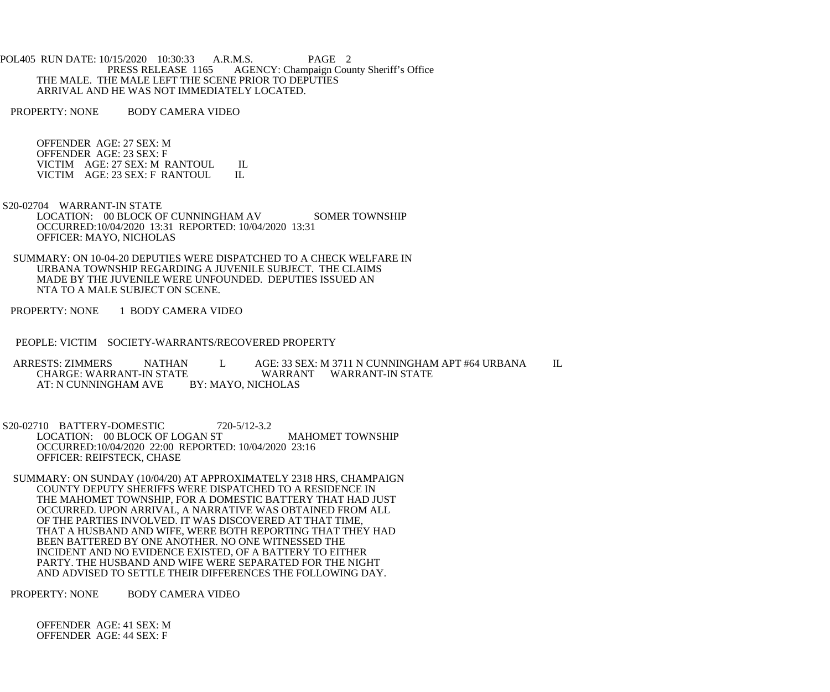POL405 RUN DATE: 10/15/2020 10:30:33 A.R.M.S. PAGE 2<br>PRESS RELEASE 1165 AGENCY: Champaign Cou AGENCY: Champaign County Sheriff's Office THE MALE. THE MALE LEFT THE SCENE PRIOR TO DEPUTIES ARRIVAL AND HE WAS NOT IMMEDIATELY LOCATED.

PROPERTY: NONE BODY CAMERA VIDEO

 OFFENDER AGE: 27 SEX: M OFFENDER AGE: 23 SEX: F VICTIM AGE: 27 SEX: M RANTOUL IL<br>VICTIM AGE: 23 SEX: F RANTOUL IL VICTIM AGE: 23 SEX: F RANTOUL

 S20-02704 WARRANT-IN STATE LOCATION: 00 BLOCK OF CUNNINGHAM AV SOMER TOWNSHIP OCCURRED:10/04/2020 13:31 REPORTED: 10/04/2020 13:31 OFFICER: MAYO, NICHOLAS

 SUMMARY: ON 10-04-20 DEPUTIES WERE DISPATCHED TO A CHECK WELFARE IN URBANA TOWNSHIP REGARDING A JUVENILE SUBJECT. THE CLAIMS MADE BY THE JUVENILE WERE UNFOUNDED. DEPUTIES ISSUED AN NTA TO A MALE SUBJECT ON SCENE.

PROPERTY: NONE 1 BODY CAMERA VIDEO

PEOPLE: VICTIM SOCIETY-WARRANTS/RECOVERED PROPERTY

 ARRESTS: ZIMMERS NATHAN L AGE: 33 SEX: M 3711 N CUNNINGHAM APT #64 URBANA IL WARRANT WARRANT-IN STATE<br>BY: MAYO, NICHOLAS AT: N CUNNINGHAM AVE

 S20-02710 BATTERY-DOMESTIC 720-5/12-3.2 LOCATION: 00 BLOCK OF LOGAN ST MAHOMET TOWNSHIP OCCURRED:10/04/2020 22:00 REPORTED: 10/04/2020 23:16 OFFICER: REIFSTECK, CHASE

 SUMMARY: ON SUNDAY (10/04/20) AT APPROXIMATELY 2318 HRS, CHAMPAIGN COUNTY DEPUTY SHERIFFS WERE DISPATCHED TO A RESIDENCE IN THE MAHOMET TOWNSHIP, FOR A DOMESTIC BATTERY THAT HAD JUST OCCURRED. UPON ARRIVAL, A NARRATIVE WAS OBTAINED FROM ALL OF THE PARTIES INVOLVED. IT WAS DISCOVERED AT THAT TIME, THAT A HUSBAND AND WIFE, WERE BOTH REPORTING THAT THEY HAD BEEN BATTERED BY ONE ANOTHER. NO ONE WITNESSED THE INCIDENT AND NO EVIDENCE EXISTED, OF A BATTERY TO EITHER PARTY. THE HUSBAND AND WIFE WERE SEPARATED FOR THE NIGHT AND ADVISED TO SETTLE THEIR DIFFERENCES THE FOLLOWING DAY.

PROPERTY: NONE BODY CAMERA VIDEO

 OFFENDER AGE: 41 SEX: M OFFENDER AGE: 44 SEX: F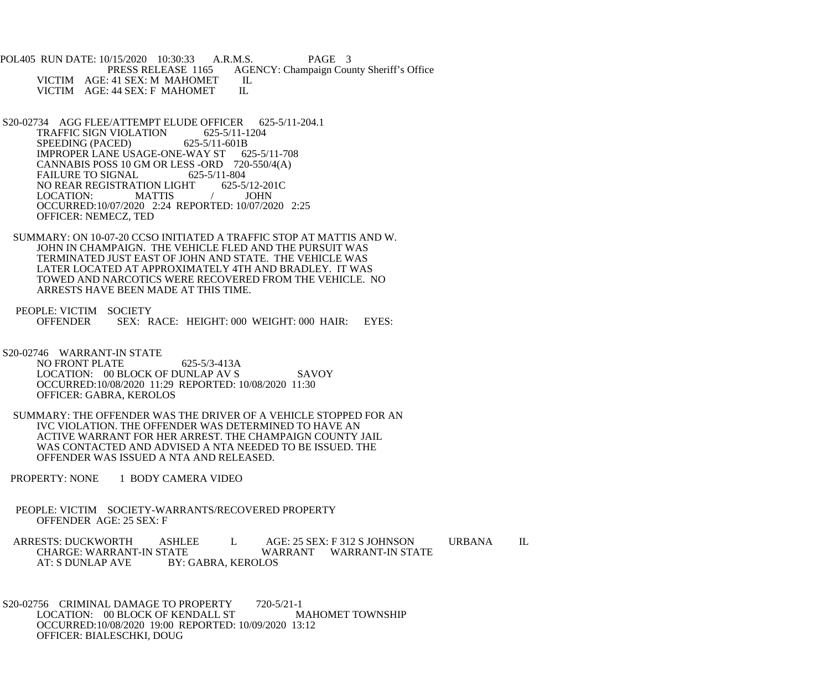POL405 RUN DATE: 10/15/2020 10:30:33 A.R.M.S. PAGE 3<br>PRESS RELEASE 1165 AGENCY: Champaign Cou AGENCY: Champaign County Sheriff's Office VICTIM AGE: 41 SEX: M MAHOMET IL<br>VICTIM AGE: 44 SEX: F MAHOMET IL VICTIM AGE: 44 SEX: F MAHOMET

- S20-02734 AGG FLEE/ATTEMPT ELUDE OFFICER 625-5/11-204.1 TRAFFIC SIGN VIOLATION 625-5/11-1204<br>SPEEDING (PACED) 625-5/11-601B SPEEDING (PACED) IMPROPER LANE USAGE-ONE-WAY ST 625-5/11-708 CANNABIS POSS 10 GM OR LESS -ORD 720-550/4(A) FAILURE TO SIGNAL 625-5/11-804<br>NO REAR REGISTRATION LIGHT 625-5/12-201C NO REAR REGISTRATION LIGHT LOCATION: MATTIS / JOHN OCCURRED:10/07/2020 2:24 REPORTED: 10/07/2020 2:25 OFFICER: NEMECZ, TED
- SUMMARY: ON 10-07-20 CCSO INITIATED A TRAFFIC STOP AT MATTIS AND W. JOHN IN CHAMPAIGN. THE VEHICLE FLED AND THE PURSUIT WAS TERMINATED JUST EAST OF JOHN AND STATE. THE VEHICLE WAS LATER LOCATED AT APPROXIMATELY 4TH AND BRADLEY. IT WAS TOWED AND NARCOTICS WERE RECOVERED FROM THE VEHICLE. NO ARRESTS HAVE BEEN MADE AT THIS TIME.
- PEOPLE: VICTIM SOCIETY<br>OFFENDER SEX: R SEX: RACE: HEIGHT: 000 WEIGHT: 000 HAIR: EYES:
- S20-02746 WARRANT-IN STATE

NO FRONT PLATE 625-5/3-413A LOCATION: 00 BLOCK OF DUNLAP AV S SAVOY OCCURRED:10/08/2020 11:29 REPORTED: 10/08/2020 11:30 OFFICER: GABRA, KEROLOS

- SUMMARY: THE OFFENDER WAS THE DRIVER OF A VEHICLE STOPPED FOR AN IVC VIOLATION. THE OFFENDER WAS DETERMINED TO HAVE AN ACTIVE WARRANT FOR HER ARREST. THE CHAMPAIGN COUNTY JAIL WAS CONTACTED AND ADVISED A NTA NEEDED TO BE ISSUED. THE OFFENDER WAS ISSUED A NTA AND RELEASED.
- PROPERTY: NONE 1 BODY CAMERA VIDEO
- PEOPLE: VICTIM SOCIETY-WARRANTS/RECOVERED PROPERTY OFFENDER AGE: 25 SEX: F
- ARRESTS: DUCKWORTH ASHLEE L AGE: 25 SEX: F 312 S JOHNSON URBANA IL CHARGE: WARRANT-IN STATE WARRANT WARRANT-IN STATE AT: S DUNLAP AVE BY: GABRA, KEROLOS

S20-02756 CRIMINAL DAMAGE TO PROPERTY 720-5/21-1<br>LOCATION: 00 BLOCK OF KENDALL ST MAHOMET TOWNSHIP LOCATION: 00 BLOCK OF KENDALL ST OCCURRED:10/08/2020 19:00 REPORTED: 10/09/2020 13:12 OFFICER: BIALESCHKI, DOUG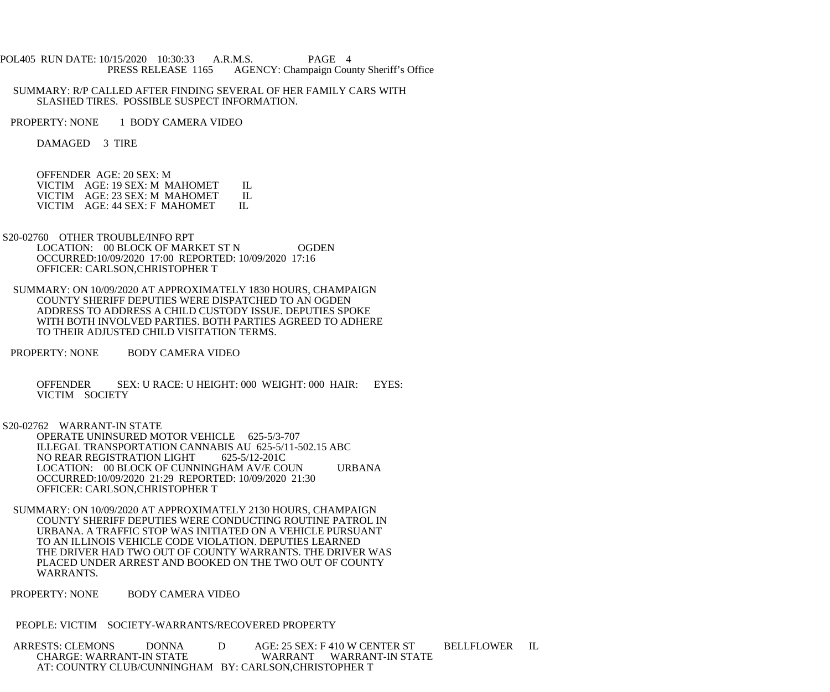## POL405 RUN DATE: 10/15/2020 10:30:33 A.R.M.S. PAGE 4 PRESS RELEASE 1165 AGENCY: Champaign County Sheriff's Office

## SUMMARY: R/P CALLED AFTER FINDING SEVERAL OF HER FAMILY CARS WITH SLASHED TIRES. POSSIBLE SUSPECT INFORMATION.

PROPERTY: NONE 1 BODY CAMERA VIDEO

DAMAGED 3 TIRE

OFFENDER AGE: 20 SEX: M

| VICTIM AGE: 19 SEX: M MAHOMET | - H .   |
|-------------------------------|---------|
| VICTIM AGE: 23 SEX: M MAHOMET | $\Pi$ . |
| VICTIM AGE: 44 SEX: F MAHOMET |         |

- S20-02760 OTHER TROUBLE/INFO RPT LOCATION: 00 BLOCK OF MARKET ST N OGDEN OCCURRED:10/09/2020 17:00 REPORTED: 10/09/2020 17:16 OFFICER: CARLSON,CHRISTOPHER T
- SUMMARY: ON 10/09/2020 AT APPROXIMATELY 1830 HOURS, CHAMPAIGN COUNTY SHERIFF DEPUTIES WERE DISPATCHED TO AN OGDEN ADDRESS TO ADDRESS A CHILD CUSTODY ISSUE. DEPUTIES SPOKE WITH BOTH INVOLVED PARTIES. BOTH PARTIES AGREED TO ADHERE TO THEIR ADJUSTED CHILD VISITATION TERMS.
- PROPERTY: NONE BODY CAMERA VIDEO

 OFFENDER SEX: U RACE: U HEIGHT: 000 WEIGHT: 000 HAIR: EYES: VICTIM SOCIETY

S20-02762 WARRANT-IN STATE

 OPERATE UNINSURED MOTOR VEHICLE 625-5/3-707 ILLEGAL TRANSPORTATION CANNABIS AU 625-5/11-502.15 ABC<br>NO REAR REGISTRATION LIGHT 625-5/12-201C NO REAR REGISTRATION LIGHT LOCATION: 00 BLOCK OF CUNNINGHAM AV/E COUN URBANA OCCURRED:10/09/2020 21:29 REPORTED: 10/09/2020 21:30 OFFICER: CARLSON,CHRISTOPHER T

 SUMMARY: ON 10/09/2020 AT APPROXIMATELY 2130 HOURS, CHAMPAIGN COUNTY SHERIFF DEPUTIES WERE CONDUCTING ROUTINE PATROL IN URBANA. A TRAFFIC STOP WAS INITIATED ON A VEHICLE PURSUANT TO AN ILLINOIS VEHICLE CODE VIOLATION. DEPUTIES LEARNED THE DRIVER HAD TWO OUT OF COUNTY WARRANTS. THE DRIVER WAS PLACED UNDER ARREST AND BOOKED ON THE TWO OUT OF COUNTY WARRANTS.

PROPERTY: NONE BODY CAMERA VIDEO

PEOPLE: VICTIM SOCIETY-WARRANTS/RECOVERED PROPERTY

ARRESTS: CLEMONS DONNA D AGE: 25 SEX: F 410 W CENTER ST BELLFLOWER IL CHARGE: WARRANT-IN STATE WARRANT WARRANT-IN STATE AT: COUNTRY CLUB/CUNNINGHAM BY: CARLSON,CHRISTOPHER T